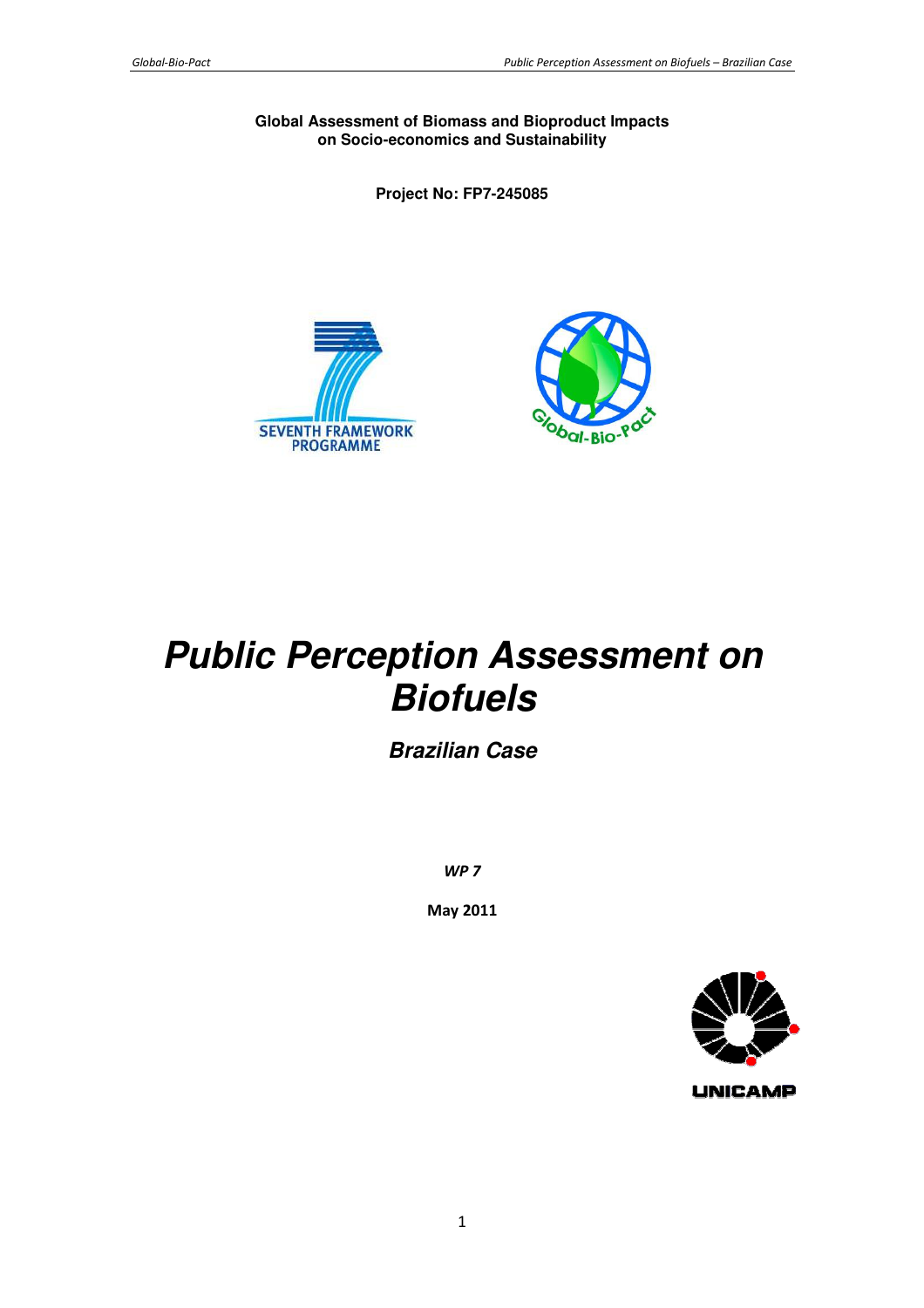**Global Assessment of Biomass and Bioproduct Impacts on Socio-economics and Sustainability** 

**Project No: FP7-245085** 





# **Public Perception Assessment on Biofuels**

**Brazilian Case** 

*WP 7* 

**May 2011** 



**UNICAMP**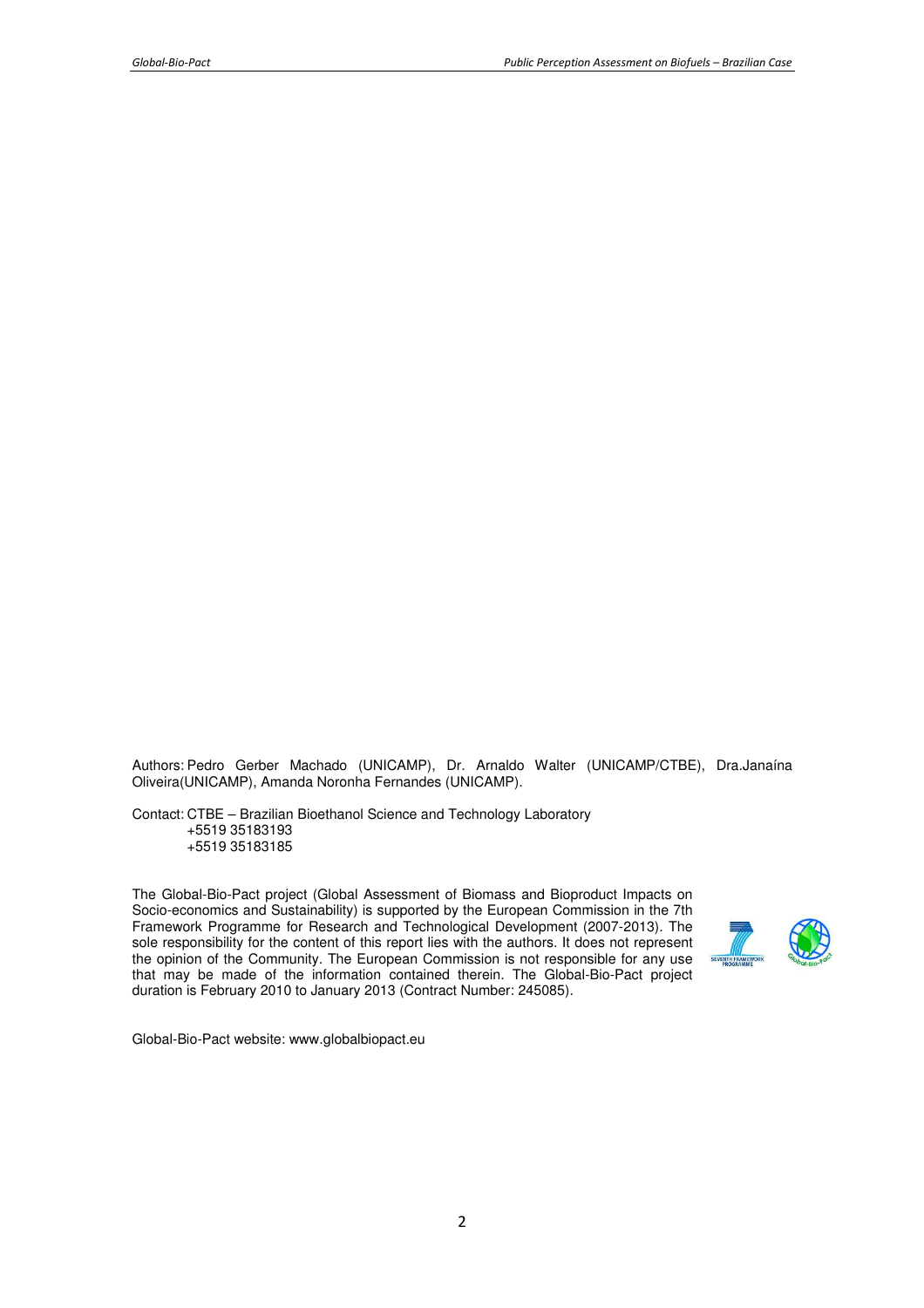Authors: Pedro Gerber Machado (UNICAMP), Dr. Arnaldo Walter (UNICAMP/CTBE), Dra.Janaína Oliveira(UNICAMP), Amanda Noronha Fernandes (UNICAMP).

Contact: CTBE – Brazilian Bioethanol Science and Technology Laboratory +5519 35183193 +5519 35183185

The Global-Bio-Pact project (Global Assessment of Biomass and Bioproduct Impacts on Socio-economics and Sustainability) is supported by the European Commission in the 7th Framework Programme for Research and Technological Development (2007-2013). The sole responsibility for the content of this report lies with the authors. It does not represent the opinion of the Community. The European Commission is not responsible for any use that may be made of the information contained therein. The Global-Bio-Pact project duration is February 2010 to January 2013 (Contract Number: 245085).



Global-Bio-Pact website: www.globalbiopact.eu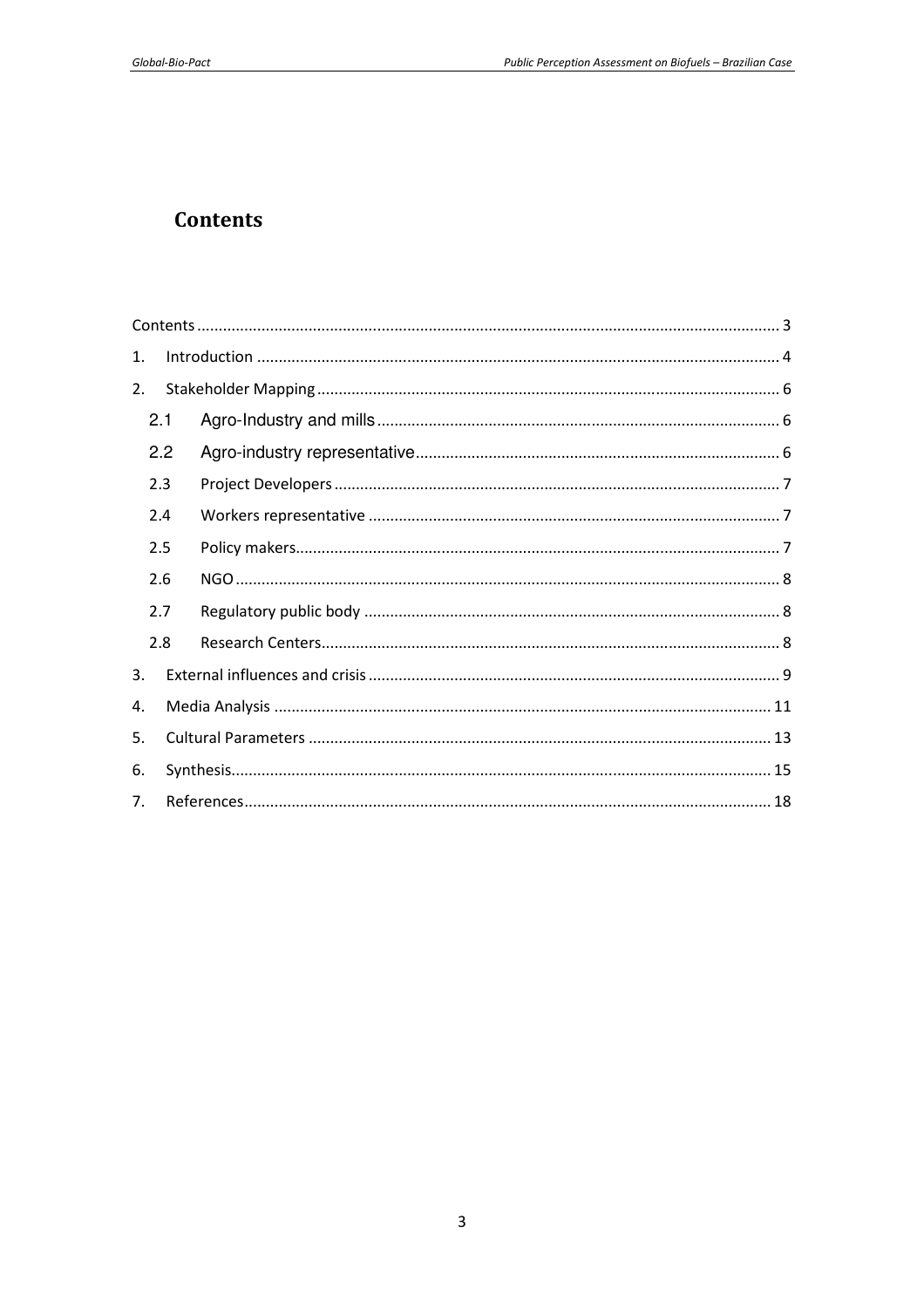# **Contents**

| 1.             |     |  |  |  |  |  |
|----------------|-----|--|--|--|--|--|
| 2.             |     |  |  |  |  |  |
|                | 2.1 |  |  |  |  |  |
|                | 2.2 |  |  |  |  |  |
|                | 2.3 |  |  |  |  |  |
|                | 2.4 |  |  |  |  |  |
|                | 2.5 |  |  |  |  |  |
|                | 2.6 |  |  |  |  |  |
|                | 2.7 |  |  |  |  |  |
|                | 2.8 |  |  |  |  |  |
| 3.             |     |  |  |  |  |  |
| 4.             |     |  |  |  |  |  |
| 5.             |     |  |  |  |  |  |
| 6.             |     |  |  |  |  |  |
| 7 <sub>1</sub> |     |  |  |  |  |  |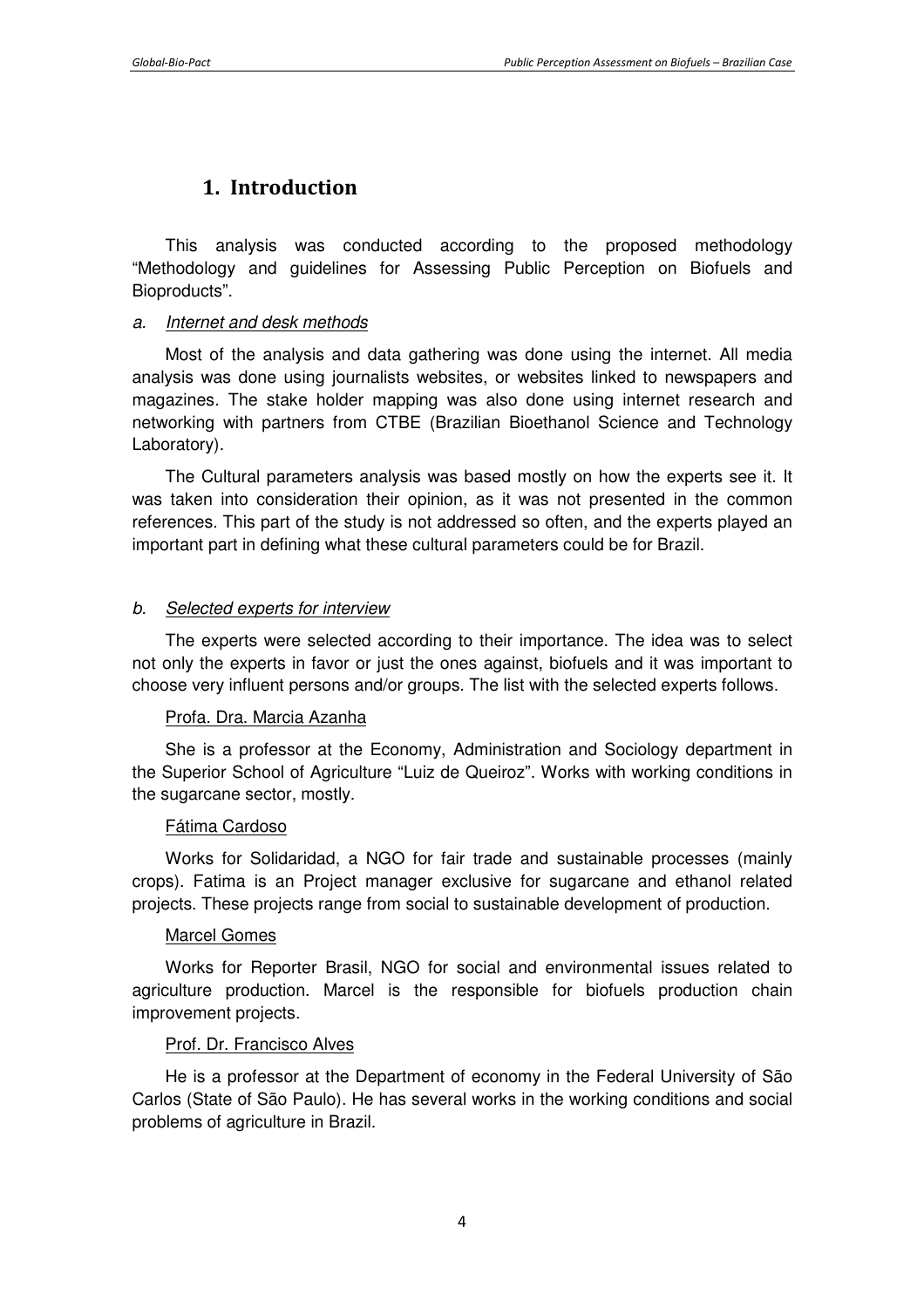## **1. Introduction**

This analysis was conducted according to the proposed methodology "Methodology and guidelines for Assessing Public Perception on Biofuels and Bioproducts".

#### a. Internet and desk methods

Most of the analysis and data gathering was done using the internet. All media analysis was done using journalists websites, or websites linked to newspapers and magazines. The stake holder mapping was also done using internet research and networking with partners from CTBE (Brazilian Bioethanol Science and Technology Laboratory).

The Cultural parameters analysis was based mostly on how the experts see it. It was taken into consideration their opinion, as it was not presented in the common references. This part of the study is not addressed so often, and the experts played an important part in defining what these cultural parameters could be for Brazil.

## b. Selected experts for interview

The experts were selected according to their importance. The idea was to select not only the experts in favor or just the ones against, biofuels and it was important to choose very influent persons and/or groups. The list with the selected experts follows.

#### Profa. Dra. Marcia Azanha

She is a professor at the Economy, Administration and Sociology department in the Superior School of Agriculture "Luiz de Queiroz". Works with working conditions in the sugarcane sector, mostly.

#### Fátima Cardoso

Works for Solidaridad, a NGO for fair trade and sustainable processes (mainly crops). Fatima is an Project manager exclusive for sugarcane and ethanol related projects. These projects range from social to sustainable development of production.

#### Marcel Gomes

Works for Reporter Brasil, NGO for social and environmental issues related to agriculture production. Marcel is the responsible for biofuels production chain improvement projects.

## Prof. Dr. Francisco Alves

He is a professor at the Department of economy in the Federal University of São Carlos (State of São Paulo). He has several works in the working conditions and social problems of agriculture in Brazil.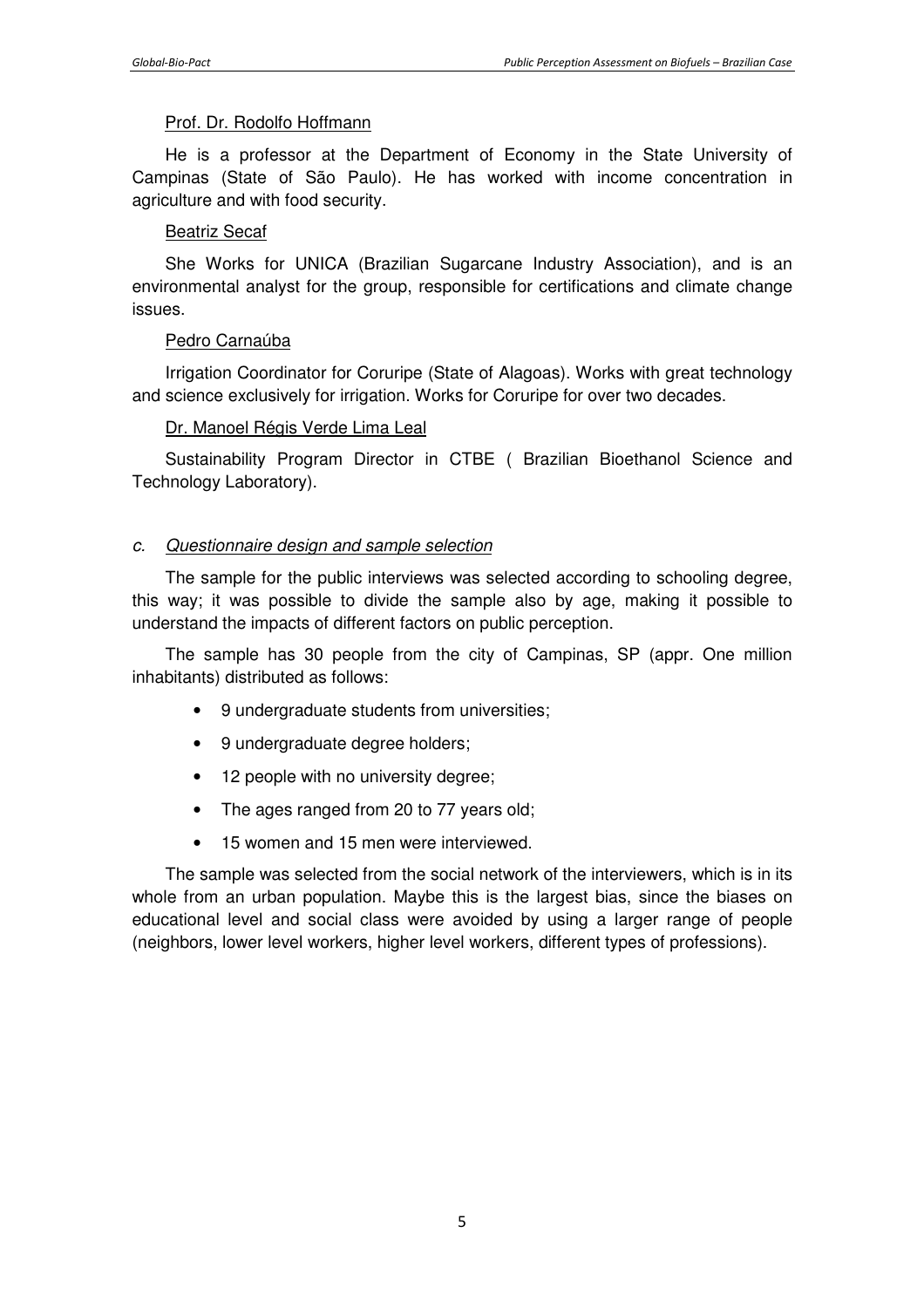#### Prof. Dr. Rodolfo Hoffmann

He is a professor at the Department of Economy in the State University of Campinas (State of São Paulo). He has worked with income concentration in agriculture and with food security.

#### Beatriz Secaf

She Works for UNICA (Brazilian Sugarcane Industry Association), and is an environmental analyst for the group, responsible for certifications and climate change issues.

## Pedro Carnaúba

Irrigation Coordinator for Coruripe (State of Alagoas). Works with great technology and science exclusively for irrigation. Works for Coruripe for over two decades.

#### Dr. Manoel Régis Verde Lima Leal

Sustainability Program Director in CTBE ( Brazilian Bioethanol Science and Technology Laboratory).

#### c. Questionnaire design and sample selection

The sample for the public interviews was selected according to schooling degree, this way; it was possible to divide the sample also by age, making it possible to understand the impacts of different factors on public perception.

The sample has 30 people from the city of Campinas, SP (appr. One million inhabitants) distributed as follows:

- 9 undergraduate students from universities;
- 9 undergraduate degree holders;
- 12 people with no university degree;
- The ages ranged from 20 to 77 years old;
- 15 women and 15 men were interviewed.

The sample was selected from the social network of the interviewers, which is in its whole from an urban population. Maybe this is the largest bias, since the biases on educational level and social class were avoided by using a larger range of people (neighbors, lower level workers, higher level workers, different types of professions).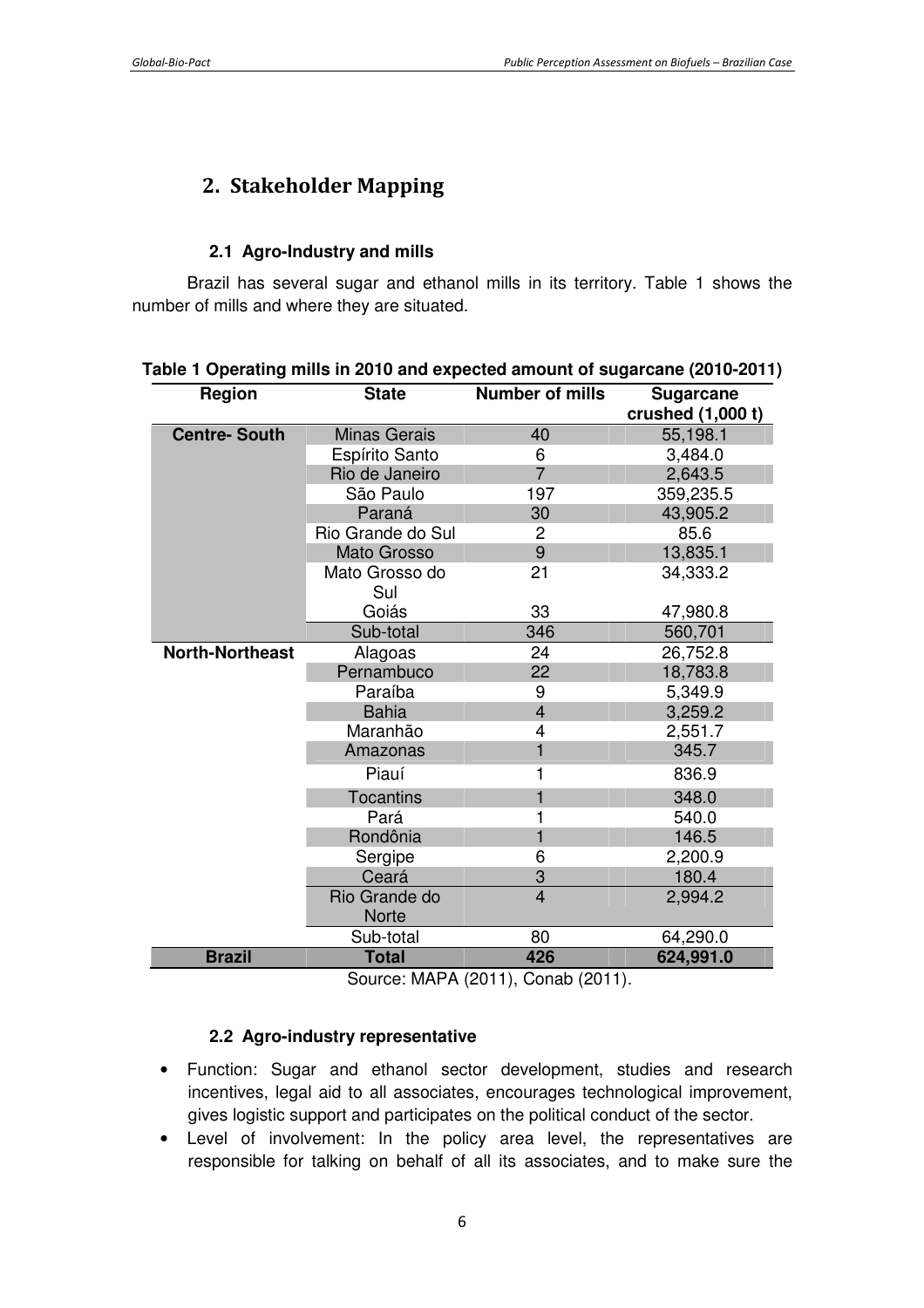# **2. Stakeholder Mapping**

#### **2.1 Agro-Industry and mills**

Brazil has several sugar and ethanol mills in its territory. Table 1 shows the number of mills and where they are situated.

| Region                 | <b>State</b>                  | <b>Number of mills</b> | <b>Sugarcane</b><br>crushed (1,000 t) |
|------------------------|-------------------------------|------------------------|---------------------------------------|
| <b>Centre-South</b>    | <b>Minas Gerais</b>           | 40                     | 55,198.1                              |
|                        | Espírito Santo                | 6                      | 3,484.0                               |
|                        | Rio de Janeiro                | $\overline{7}$         | 2,643.5                               |
|                        | São Paulo                     | 197                    | 359,235.5                             |
|                        | Paraná                        | 30                     | 43,905.2                              |
|                        | Rio Grande do Sul             | 2                      | 85.6                                  |
|                        | Mato Grosso                   | 9                      | 13,835.1                              |
|                        | Mato Grosso do<br>Sul         | 21                     | 34,333.2                              |
|                        | Goiás                         | 33                     | 47,980.8                              |
|                        | Sub-total                     | 346                    | 560,701                               |
| <b>North-Northeast</b> | Alagoas                       | 24                     | 26,752.8                              |
|                        | Pernambuco                    | 22                     | 18,783.8                              |
|                        | Paraíba                       | 9                      | 5,349.9                               |
|                        | <b>Bahia</b>                  | $\overline{4}$         | 3,259.2                               |
|                        | Maranhão                      | 4                      | 2,551.7                               |
|                        | Amazonas                      | $\mathbf{1}$           | 345.7                                 |
|                        | Piauí                         | 1                      | 836.9                                 |
|                        | <b>Tocantins</b>              | 1                      | 348.0                                 |
|                        | Pará                          | 1                      | 540.0                                 |
|                        | Rondônia                      | 1                      | 146.5                                 |
|                        | Sergipe                       | 6                      | 2,200.9                               |
|                        | Ceará                         | 3                      | 180.4                                 |
|                        | Rio Grande do<br><b>Norte</b> | $\overline{4}$         | 2,994.2                               |
|                        | Sub-total                     | 80                     | 64,290.0                              |
| <b>Brazil</b>          | <b>Total</b>                  | 426                    | 624,991.0                             |

## **Table 1 Operating mills in 2010 and expected amount of sugarcane (2010-2011)**

Source: MAPA (2011), Conab (2011).

#### **2.2 Agro-industry representative**

- Function: Sugar and ethanol sector development, studies and research incentives, legal aid to all associates, encourages technological improvement, gives logistic support and participates on the political conduct of the sector.
- Level of involvement: In the policy area level, the representatives are responsible for talking on behalf of all its associates, and to make sure the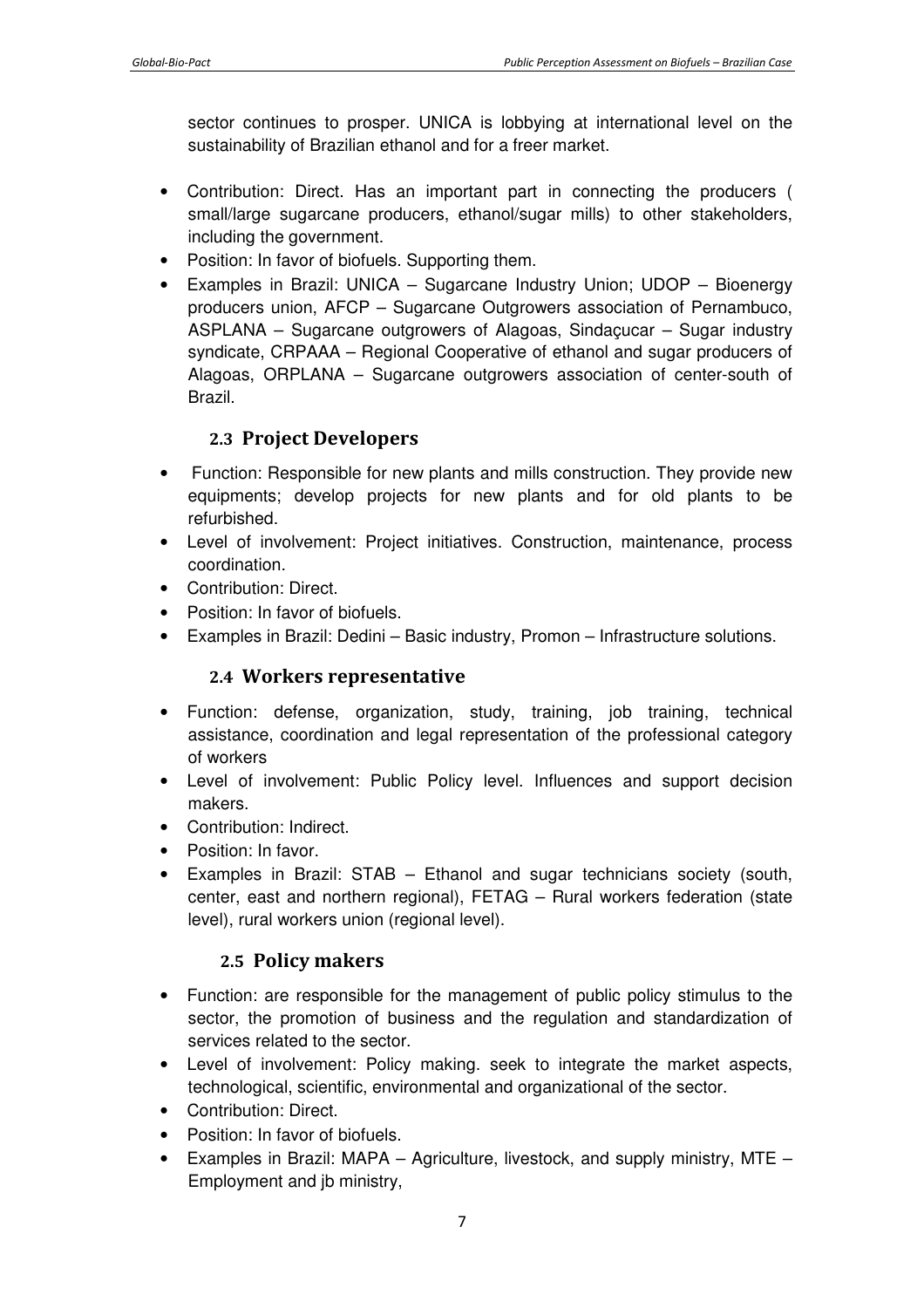sector continues to prosper. UNICA is lobbying at international level on the sustainability of Brazilian ethanol and for a freer market.

- Contribution: Direct. Has an important part in connecting the producers ( small/large sugarcane producers, ethanol/sugar mills) to other stakeholders, including the government.
- Position: In favor of biofuels. Supporting them.
- Examples in Brazil: UNICA Sugarcane Industry Union; UDOP Bioenergy producers union, AFCP – Sugarcane Outgrowers association of Pernambuco, ASPLANA – Sugarcane outgrowers of Alagoas, Sindaçucar – Sugar industry syndicate, CRPAAA – Regional Cooperative of ethanol and sugar producers of Alagoas, ORPLANA – Sugarcane outgrowers association of center-south of Brazil.

## **2.3 Project Developers**

- Function: Responsible for new plants and mills construction. They provide new equipments; develop projects for new plants and for old plants to be refurbished.
- Level of involvement: Project initiatives. Construction, maintenance, process coordination.
- Contribution: Direct.
- Position: In favor of biofuels.
- Examples in Brazil: Dedini Basic industry, Promon Infrastructure solutions.

## **2.4 Workers representative**

- Function: defense, organization, study, training, job training, technical assistance, coordination and legal representation of the professional category of workers
- Level of involvement: Public Policy level. Influences and support decision makers.
- Contribution: Indirect.
- Position: In favor.
- Examples in Brazil: STAB Ethanol and sugar technicians society (south, center, east and northern regional), FETAG – Rural workers federation (state level), rural workers union (regional level).

## **2.5 Policy makers**

- Function: are responsible for the management of public policy stimulus to the sector, the promotion of business and the regulation and standardization of services related to the sector.
- Level of involvement: Policy making. seek to integrate the market aspects, technological, scientific, environmental and organizational of the sector.
- Contribution: Direct.
- Position: In favor of biofuels.
- Examples in Brazil: MAPA Agriculture, livestock, and supply ministry, MTE Employment and jb ministry,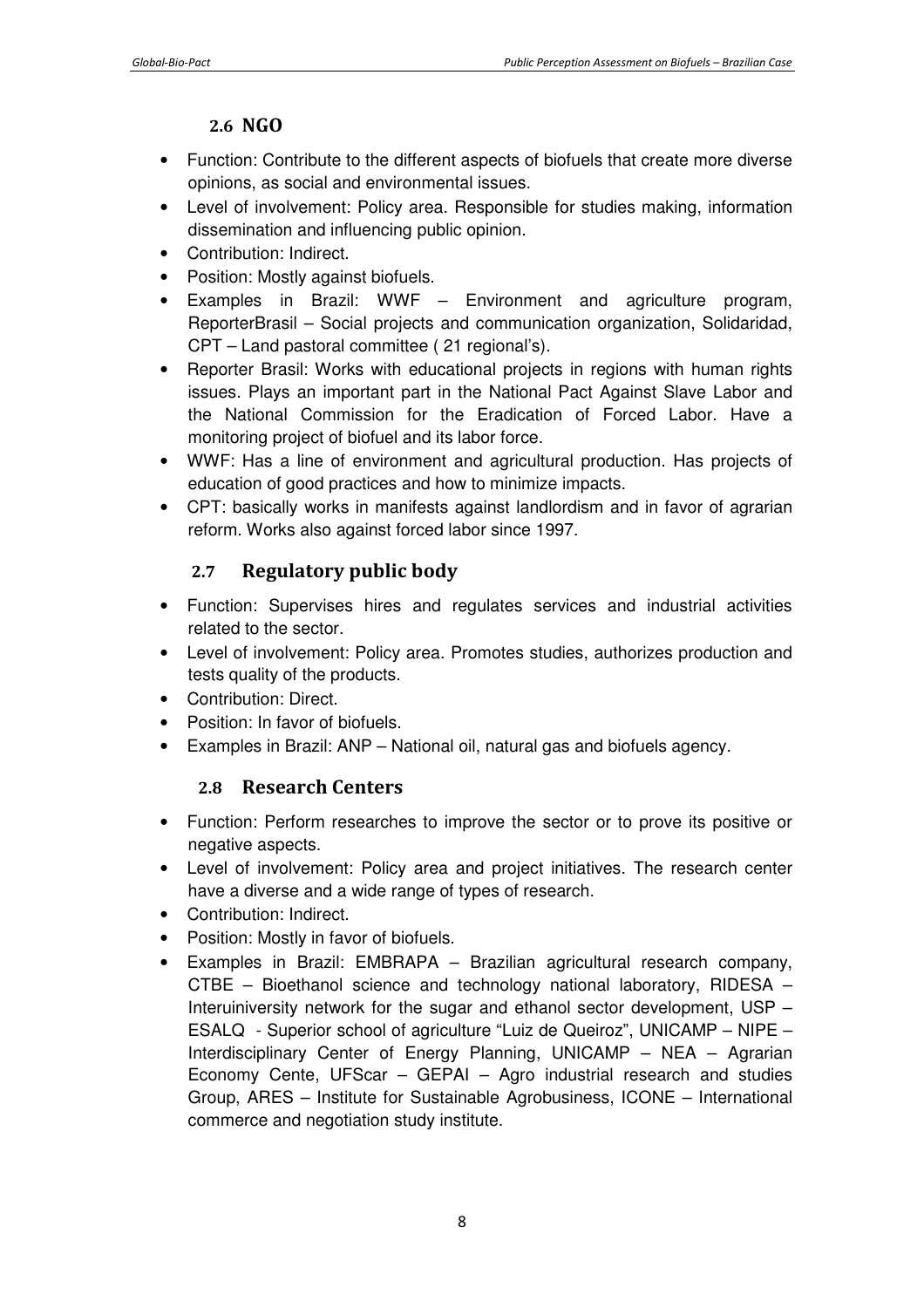## **2.6 NGO**

- Function: Contribute to the different aspects of biofuels that create more diverse opinions, as social and environmental issues.
- Level of involvement: Policy area. Responsible for studies making, information dissemination and influencing public opinion.
- Contribution: Indirect.
- Position: Mostly against biofuels.
- Examples in Brazil: WWF Environment and agriculture program, ReporterBrasil – Social projects and communication organization, Solidaridad, CPT – Land pastoral committee ( 21 regional's).
- Reporter Brasil: Works with educational projects in regions with human rights issues. Plays an important part in the National Pact Against Slave Labor and the National Commission for the Eradication of Forced Labor. Have a monitoring project of biofuel and its labor force.
- WWF: Has a line of environment and agricultural production. Has projects of education of good practices and how to minimize impacts.
- CPT: basically works in manifests against landlordism and in favor of agrarian reform. Works also against forced labor since 1997.

## **2.7 Regulatory public body**

- Function: Supervises hires and regulates services and industrial activities related to the sector.
- Level of involvement: Policy area. Promotes studies, authorizes production and tests quality of the products.
- Contribution: Direct.
- Position: In favor of biofuels.
- Examples in Brazil: ANP National oil, natural gas and biofuels agency.

## **2.8 Research Centers**

- Function: Perform researches to improve the sector or to prove its positive or negative aspects.
- Level of involvement: Policy area and project initiatives. The research center have a diverse and a wide range of types of research.
- Contribution: Indirect.
- Position: Mostly in favor of biofuels.
- Examples in Brazil: EMBRAPA Brazilian agricultural research company, CTBE – Bioethanol science and technology national laboratory, RIDESA – Interuiniversity network for the sugar and ethanol sector development, USP – ESALQ - Superior school of agriculture "Luiz de Queiroz", UNICAMP – NIPE – Interdisciplinary Center of Energy Planning, UNICAMP – NEA – Agrarian Economy Cente, UFScar – GEPAI – Agro industrial research and studies Group, ARES – Institute for Sustainable Agrobusiness, ICONE – International commerce and negotiation study institute.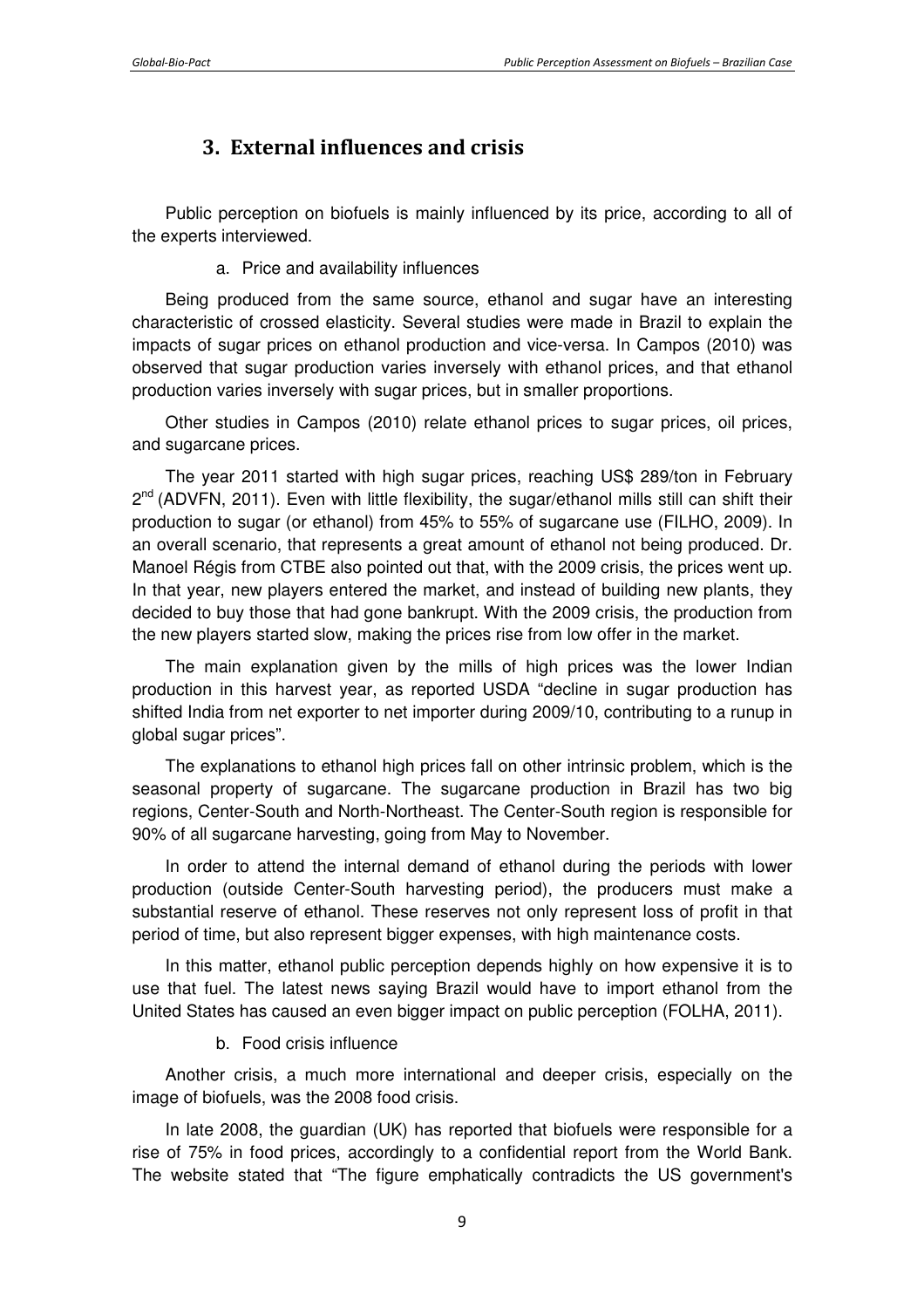## **3. External influences and crisis**

Public perception on biofuels is mainly influenced by its price, according to all of the experts interviewed.

a. Price and availability influences

Being produced from the same source, ethanol and sugar have an interesting characteristic of crossed elasticity. Several studies were made in Brazil to explain the impacts of sugar prices on ethanol production and vice-versa. In Campos (2010) was observed that sugar production varies inversely with ethanol prices, and that ethanol production varies inversely with sugar prices, but in smaller proportions.

Other studies in Campos (2010) relate ethanol prices to sugar prices, oil prices, and sugarcane prices.

The year 2011 started with high sugar prices, reaching US\$ 289/ton in February 2<sup>nd</sup> (ADVFN, 2011). Even with little flexibility, the sugar/ethanol mills still can shift their production to sugar (or ethanol) from 45% to 55% of sugarcane use (FILHO, 2009). In an overall scenario, that represents a great amount of ethanol not being produced. Dr. Manoel Régis from CTBE also pointed out that, with the 2009 crisis, the prices went up. In that year, new players entered the market, and instead of building new plants, they decided to buy those that had gone bankrupt. With the 2009 crisis, the production from the new players started slow, making the prices rise from low offer in the market.

The main explanation given by the mills of high prices was the lower Indian production in this harvest year, as reported USDA "decline in sugar production has shifted India from net exporter to net importer during 2009/10, contributing to a runup in global sugar prices".

The explanations to ethanol high prices fall on other intrinsic problem, which is the seasonal property of sugarcane. The sugarcane production in Brazil has two big regions, Center-South and North-Northeast. The Center-South region is responsible for 90% of all sugarcane harvesting, going from May to November.

In order to attend the internal demand of ethanol during the periods with lower production (outside Center-South harvesting period), the producers must make a substantial reserve of ethanol. These reserves not only represent loss of profit in that period of time, but also represent bigger expenses, with high maintenance costs.

In this matter, ethanol public perception depends highly on how expensive it is to use that fuel. The latest news saying Brazil would have to import ethanol from the United States has caused an even bigger impact on public perception (FOLHA, 2011).

b. Food crisis influence

Another crisis, a much more international and deeper crisis, especially on the image of biofuels, was the 2008 food crisis.

In late 2008, the guardian (UK) has reported that biofuels were responsible for a rise of 75% in food prices, accordingly to a confidential report from the World Bank. The website stated that "The figure emphatically contradicts the US government's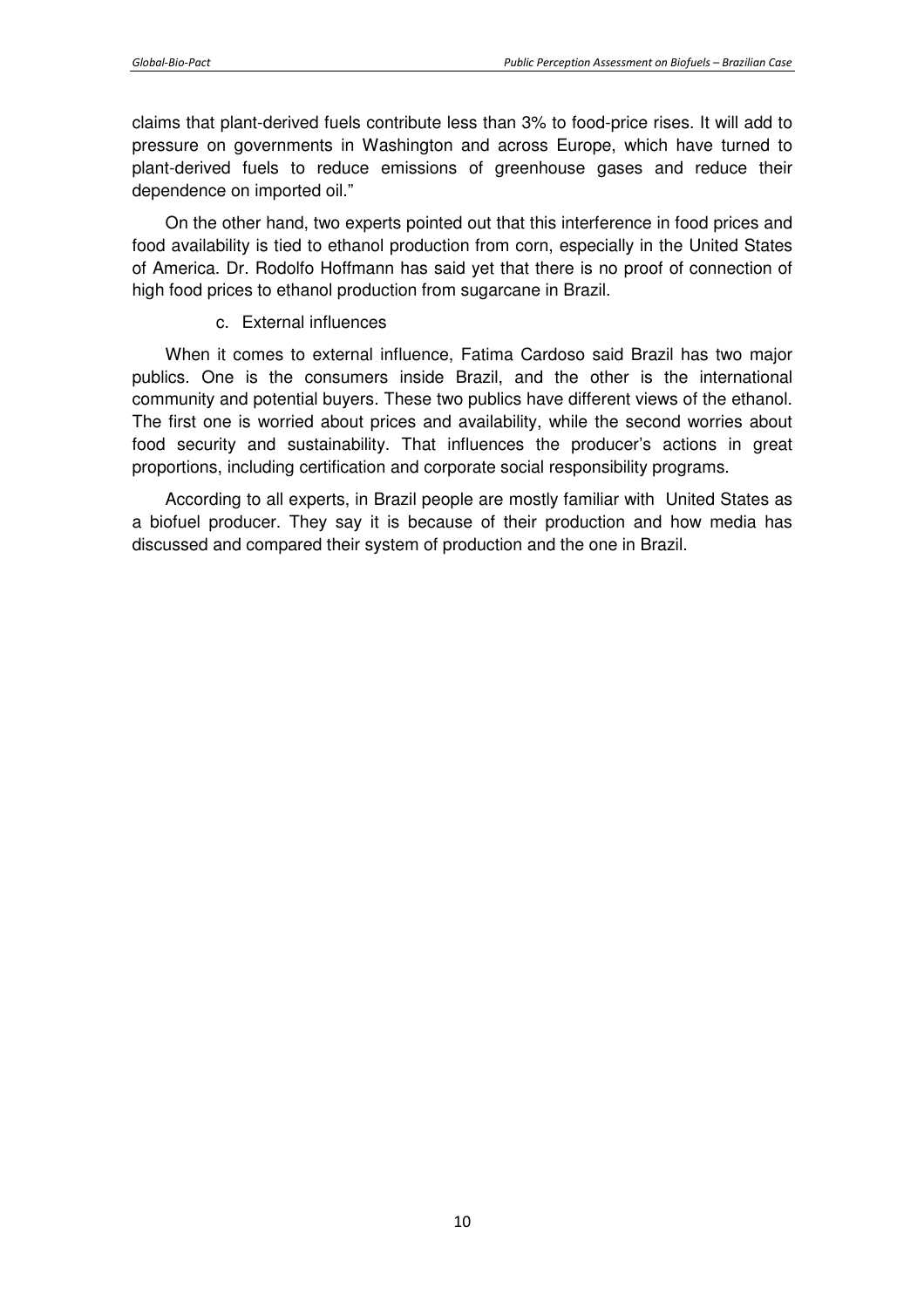claims that plant-derived fuels contribute less than 3% to food-price rises. It will add to pressure on governments in Washington and across Europe, which have turned to plant-derived fuels to reduce emissions of greenhouse gases and reduce their dependence on imported oil."

On the other hand, two experts pointed out that this interference in food prices and food availability is tied to ethanol production from corn, especially in the United States of America. Dr. Rodolfo Hoffmann has said yet that there is no proof of connection of high food prices to ethanol production from sugarcane in Brazil.

#### c. External influences

When it comes to external influence, Fatima Cardoso said Brazil has two major publics. One is the consumers inside Brazil, and the other is the international community and potential buyers. These two publics have different views of the ethanol. The first one is worried about prices and availability, while the second worries about food security and sustainability. That influences the producer's actions in great proportions, including certification and corporate social responsibility programs.

According to all experts, in Brazil people are mostly familiar with United States as a biofuel producer. They say it is because of their production and how media has discussed and compared their system of production and the one in Brazil.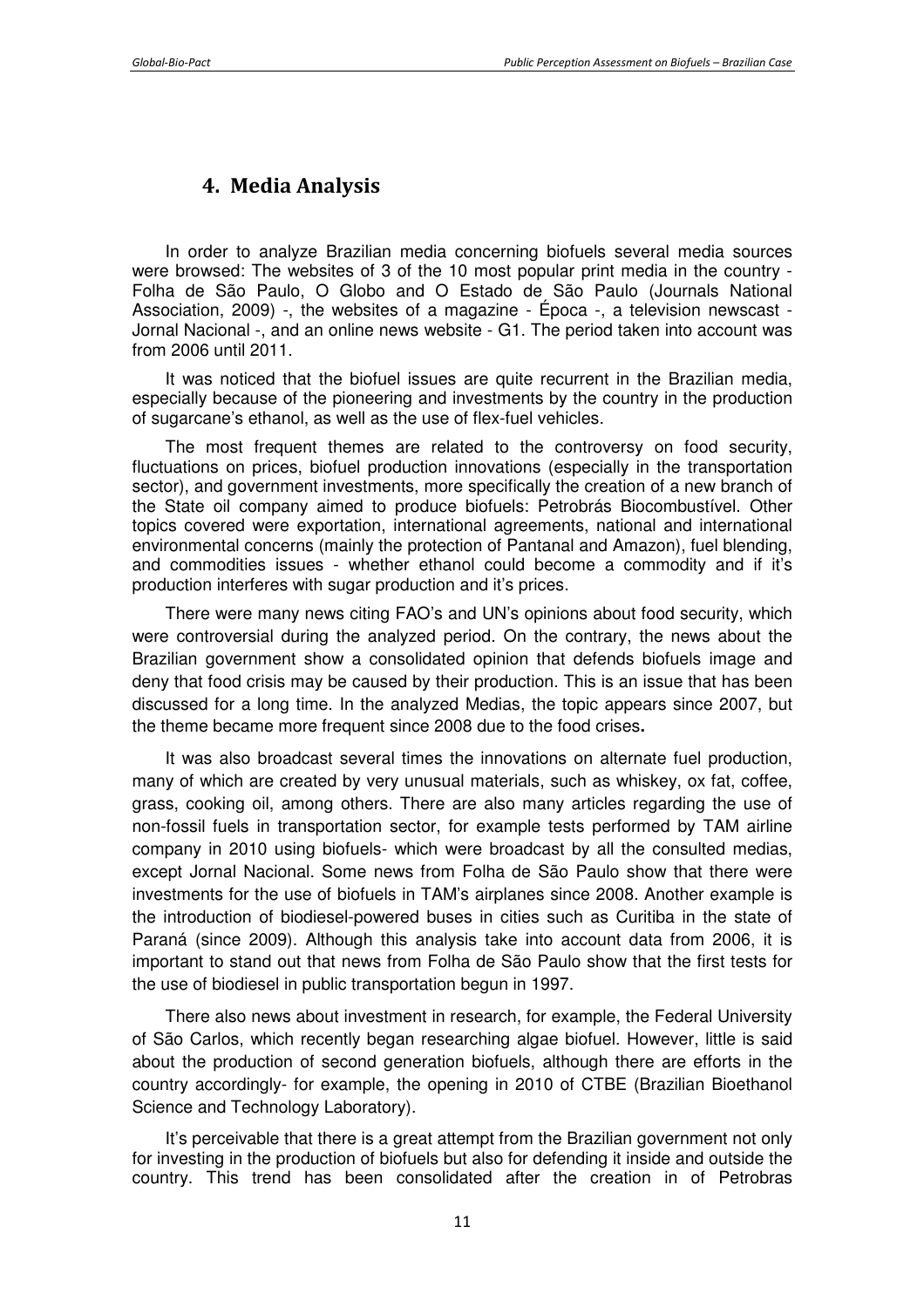## **4. Media Analysis**

In order to analyze Brazilian media concerning biofuels several media sources were browsed: The websites of 3 of the 10 most popular print media in the country - Folha de São Paulo, O Globo and O Estado de São Paulo (Journals National Association, 2009) -, the websites of a magazine - Época -, a television newscast - Jornal Nacional -, and an online news website - G1. The period taken into account was from 2006 until 2011.

It was noticed that the biofuel issues are quite recurrent in the Brazilian media, especially because of the pioneering and investments by the country in the production of sugarcane's ethanol, as well as the use of flex-fuel vehicles.

The most frequent themes are related to the controversy on food security, fluctuations on prices, biofuel production innovations (especially in the transportation sector), and government investments, more specifically the creation of a new branch of the State oil company aimed to produce biofuels: Petrobrás Biocombustível. Other topics covered were exportation, international agreements, national and international environmental concerns (mainly the protection of Pantanal and Amazon), fuel blending, and commodities issues - whether ethanol could become a commodity and if it's production interferes with sugar production and it's prices.

There were many news citing FAO's and UN's opinions about food security, which were controversial during the analyzed period. On the contrary, the news about the Brazilian government show a consolidated opinion that defends biofuels image and deny that food crisis may be caused by their production. This is an issue that has been discussed for a long time. In the analyzed Medias, the topic appears since 2007, but the theme became more frequent since 2008 due to the food crises**.** 

It was also broadcast several times the innovations on alternate fuel production, many of which are created by very unusual materials, such as whiskey, ox fat, coffee, grass, cooking oil, among others. There are also many articles regarding the use of non-fossil fuels in transportation sector, for example tests performed by TAM airline company in 2010 using biofuels- which were broadcast by all the consulted medias, except Jornal Nacional. Some news from Folha de São Paulo show that there were investments for the use of biofuels in TAM's airplanes since 2008. Another example is the introduction of biodiesel-powered buses in cities such as Curitiba in the state of Paraná (since 2009). Although this analysis take into account data from 2006, it is important to stand out that news from Folha de São Paulo show that the first tests for the use of biodiesel in public transportation begun in 1997.

There also news about investment in research, for example, the Federal University of São Carlos, which recently began researching algae biofuel. However, little is said about the production of second generation biofuels, although there are efforts in the country accordingly- for example, the opening in 2010 of CTBE (Brazilian Bioethanol Science and Technology Laboratory).

It's perceivable that there is a great attempt from the Brazilian government not only for investing in the production of biofuels but also for defending it inside and outside the country. This trend has been consolidated after the creation in of Petrobras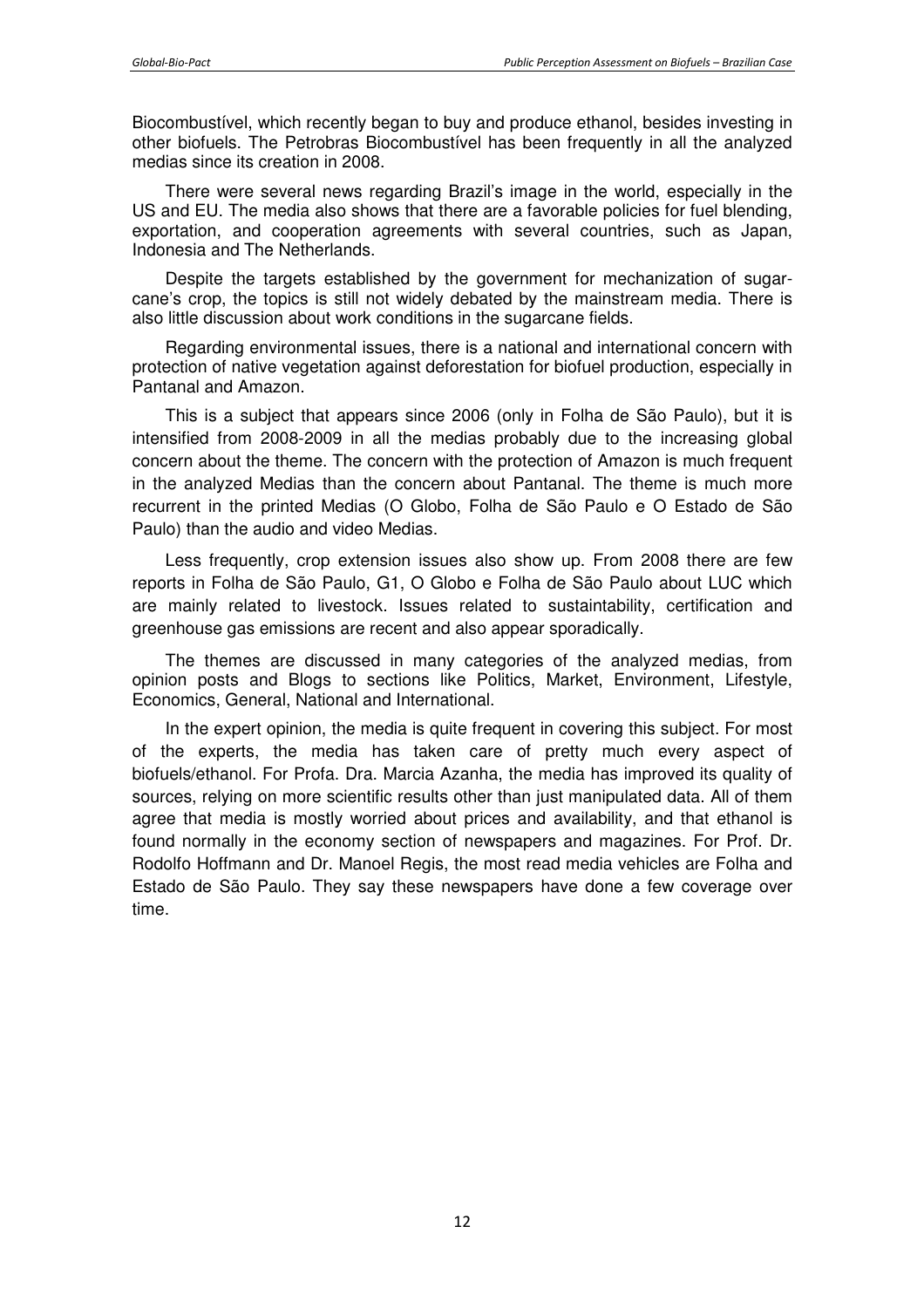Biocombustível, which recently began to buy and produce ethanol, besides investing in other biofuels. The Petrobras Biocombustível has been frequently in all the analyzed medias since its creation in 2008.

There were several news regarding Brazil's image in the world, especially in the US and EU. The media also shows that there are a favorable policies for fuel blending, exportation, and cooperation agreements with several countries, such as Japan, Indonesia and The Netherlands.

Despite the targets established by the government for mechanization of sugarcane's crop, the topics is still not widely debated by the mainstream media. There is also little discussion about work conditions in the sugarcane fields.

Regarding environmental issues, there is a national and international concern with protection of native vegetation against deforestation for biofuel production, especially in Pantanal and Amazon.

This is a subject that appears since 2006 (only in Folha de São Paulo), but it is intensified from 2008-2009 in all the medias probably due to the increasing global concern about the theme. The concern with the protection of Amazon is much frequent in the analyzed Medias than the concern about Pantanal. The theme is much more recurrent in the printed Medias (O Globo, Folha de São Paulo e O Estado de São Paulo) than the audio and video Medias.

Less frequently, crop extension issues also show up. From 2008 there are few reports in Folha de São Paulo, G1, O Globo e Folha de São Paulo about LUC which are mainly related to livestock. Issues related to sustaintability, certification and greenhouse gas emissions are recent and also appear sporadically.

The themes are discussed in many categories of the analyzed medias, from opinion posts and Blogs to sections like Politics, Market, Environment, Lifestyle, Economics, General, National and International.

In the expert opinion, the media is quite frequent in covering this subject. For most of the experts, the media has taken care of pretty much every aspect of biofuels/ethanol. For Profa. Dra. Marcia Azanha, the media has improved its quality of sources, relying on more scientific results other than just manipulated data. All of them agree that media is mostly worried about prices and availability, and that ethanol is found normally in the economy section of newspapers and magazines. For Prof. Dr. Rodolfo Hoffmann and Dr. Manoel Regis, the most read media vehicles are Folha and Estado de São Paulo. They say these newspapers have done a few coverage over time.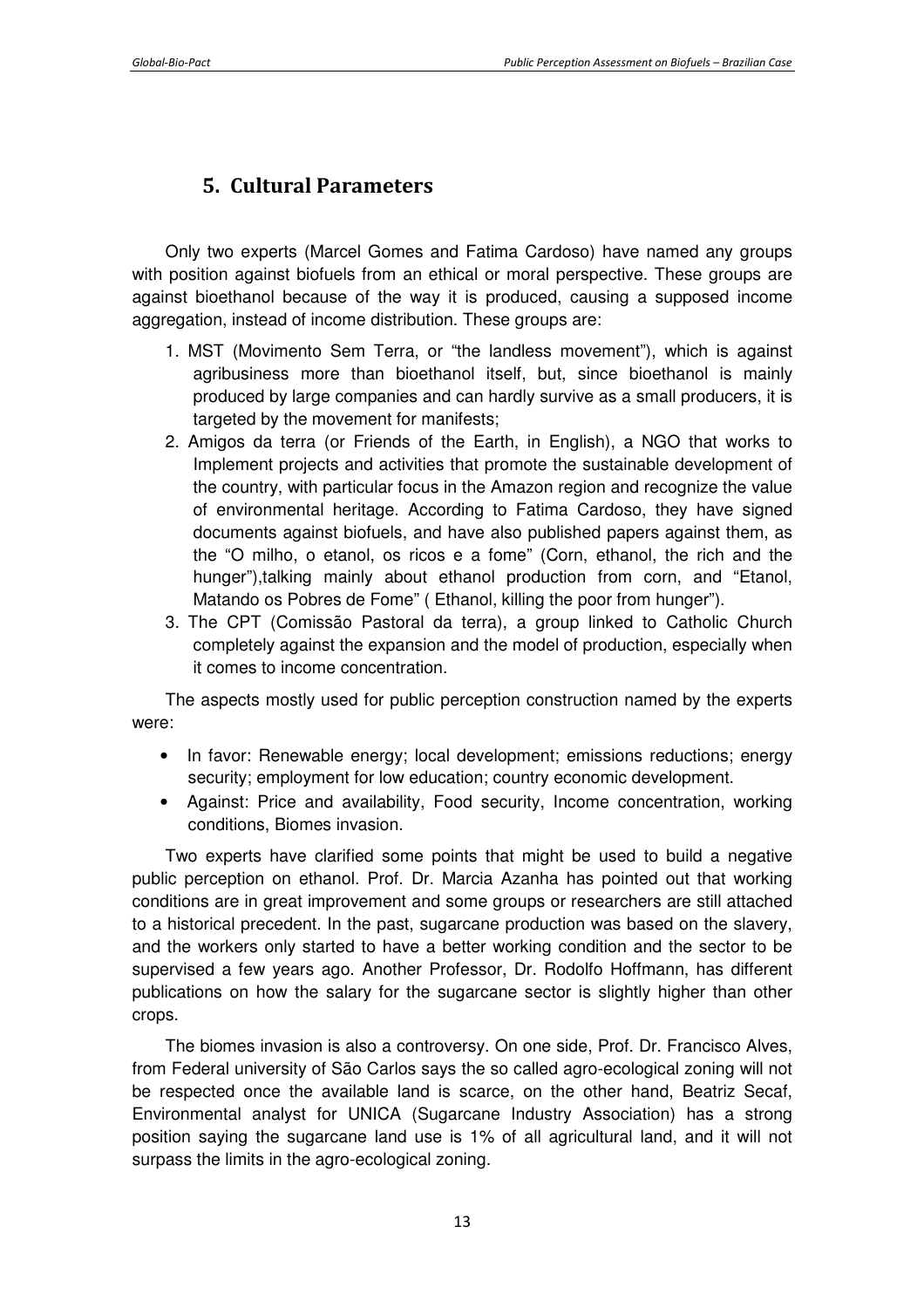# **5. Cultural Parameters**

Only two experts (Marcel Gomes and Fatima Cardoso) have named any groups with position against biofuels from an ethical or moral perspective. These groups are against bioethanol because of the way it is produced, causing a supposed income aggregation, instead of income distribution. These groups are:

- 1. MST (Movimento Sem Terra, or "the landless movement"), which is against agribusiness more than bioethanol itself, but, since bioethanol is mainly produced by large companies and can hardly survive as a small producers, it is targeted by the movement for manifests;
- 2. Amigos da terra (or Friends of the Earth, in English), a NGO that works to Implement projects and activities that promote the sustainable development of the country, with particular focus in the Amazon region and recognize the value of environmental heritage. According to Fatima Cardoso, they have signed documents against biofuels, and have also published papers against them, as the "O milho, o etanol, os ricos e a fome" (Corn, ethanol, the rich and the hunger"),talking mainly about ethanol production from corn, and "Etanol, Matando os Pobres de Fome" ( Ethanol, killing the poor from hunger").
- 3. The CPT (Comissão Pastoral da terra), a group linked to Catholic Church completely against the expansion and the model of production, especially when it comes to income concentration.

The aspects mostly used for public perception construction named by the experts were:

- In favor: Renewable energy; local development; emissions reductions; energy security; employment for low education; country economic development.
- Against: Price and availability, Food security, Income concentration, working conditions, Biomes invasion.

Two experts have clarified some points that might be used to build a negative public perception on ethanol. Prof. Dr. Marcia Azanha has pointed out that working conditions are in great improvement and some groups or researchers are still attached to a historical precedent. In the past, sugarcane production was based on the slavery, and the workers only started to have a better working condition and the sector to be supervised a few years ago. Another Professor, Dr. Rodolfo Hoffmann, has different publications on how the salary for the sugarcane sector is slightly higher than other crops.

The biomes invasion is also a controversy. On one side, Prof. Dr. Francisco Alves, from Federal university of São Carlos says the so called agro-ecological zoning will not be respected once the available land is scarce, on the other hand, Beatriz Secaf, Environmental analyst for UNICA (Sugarcane Industry Association) has a strong position saying the sugarcane land use is 1% of all agricultural land, and it will not surpass the limits in the agro-ecological zoning.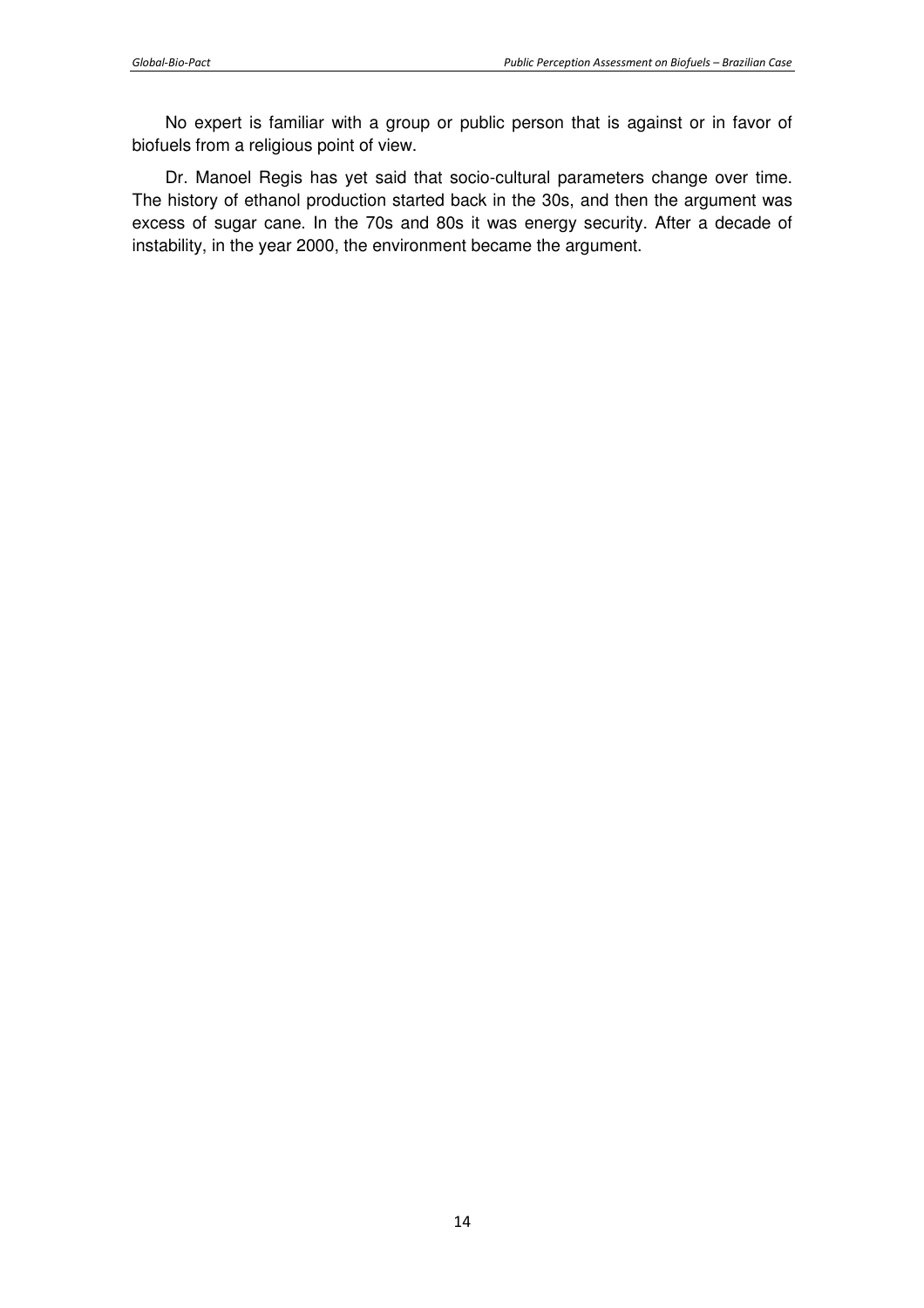No expert is familiar with a group or public person that is against or in favor of biofuels from a religious point of view.

Dr. Manoel Regis has yet said that socio-cultural parameters change over time. The history of ethanol production started back in the 30s, and then the argument was excess of sugar cane. In the 70s and 80s it was energy security. After a decade of instability, in the year 2000, the environment became the argument.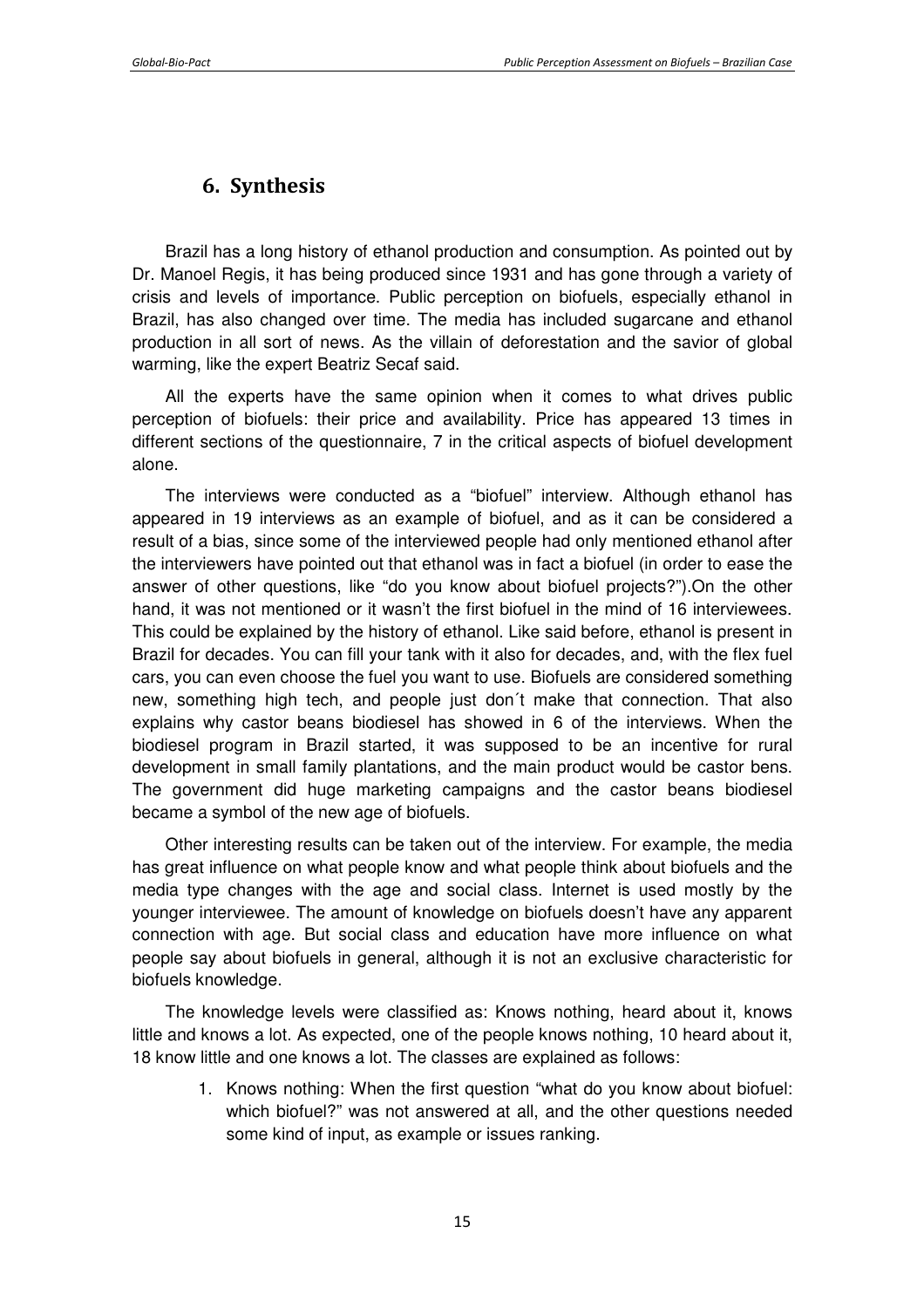## **6. Synthesis**

Brazil has a long history of ethanol production and consumption. As pointed out by Dr. Manoel Regis, it has being produced since 1931 and has gone through a variety of crisis and levels of importance. Public perception on biofuels, especially ethanol in Brazil, has also changed over time. The media has included sugarcane and ethanol production in all sort of news. As the villain of deforestation and the savior of global warming, like the expert Beatriz Secaf said.

All the experts have the same opinion when it comes to what drives public perception of biofuels: their price and availability. Price has appeared 13 times in different sections of the questionnaire, 7 in the critical aspects of biofuel development alone.

The interviews were conducted as a "biofuel" interview. Although ethanol has appeared in 19 interviews as an example of biofuel, and as it can be considered a result of a bias, since some of the interviewed people had only mentioned ethanol after the interviewers have pointed out that ethanol was in fact a biofuel (in order to ease the answer of other questions, like "do you know about biofuel projects?").On the other hand, it was not mentioned or it wasn't the first biofuel in the mind of 16 interviewees. This could be explained by the history of ethanol. Like said before, ethanol is present in Brazil for decades. You can fill your tank with it also for decades, and, with the flex fuel cars, you can even choose the fuel you want to use. Biofuels are considered something new, something high tech, and people just don´t make that connection. That also explains why castor beans biodiesel has showed in 6 of the interviews. When the biodiesel program in Brazil started, it was supposed to be an incentive for rural development in small family plantations, and the main product would be castor bens. The government did huge marketing campaigns and the castor beans biodiesel became a symbol of the new age of biofuels.

Other interesting results can be taken out of the interview. For example, the media has great influence on what people know and what people think about biofuels and the media type changes with the age and social class. Internet is used mostly by the younger interviewee. The amount of knowledge on biofuels doesn't have any apparent connection with age. But social class and education have more influence on what people say about biofuels in general, although it is not an exclusive characteristic for biofuels knowledge.

The knowledge levels were classified as: Knows nothing, heard about it, knows little and knows a lot. As expected, one of the people knows nothing, 10 heard about it, 18 know little and one knows a lot. The classes are explained as follows:

> 1. Knows nothing: When the first question "what do you know about biofuel: which biofuel?" was not answered at all, and the other questions needed some kind of input, as example or issues ranking.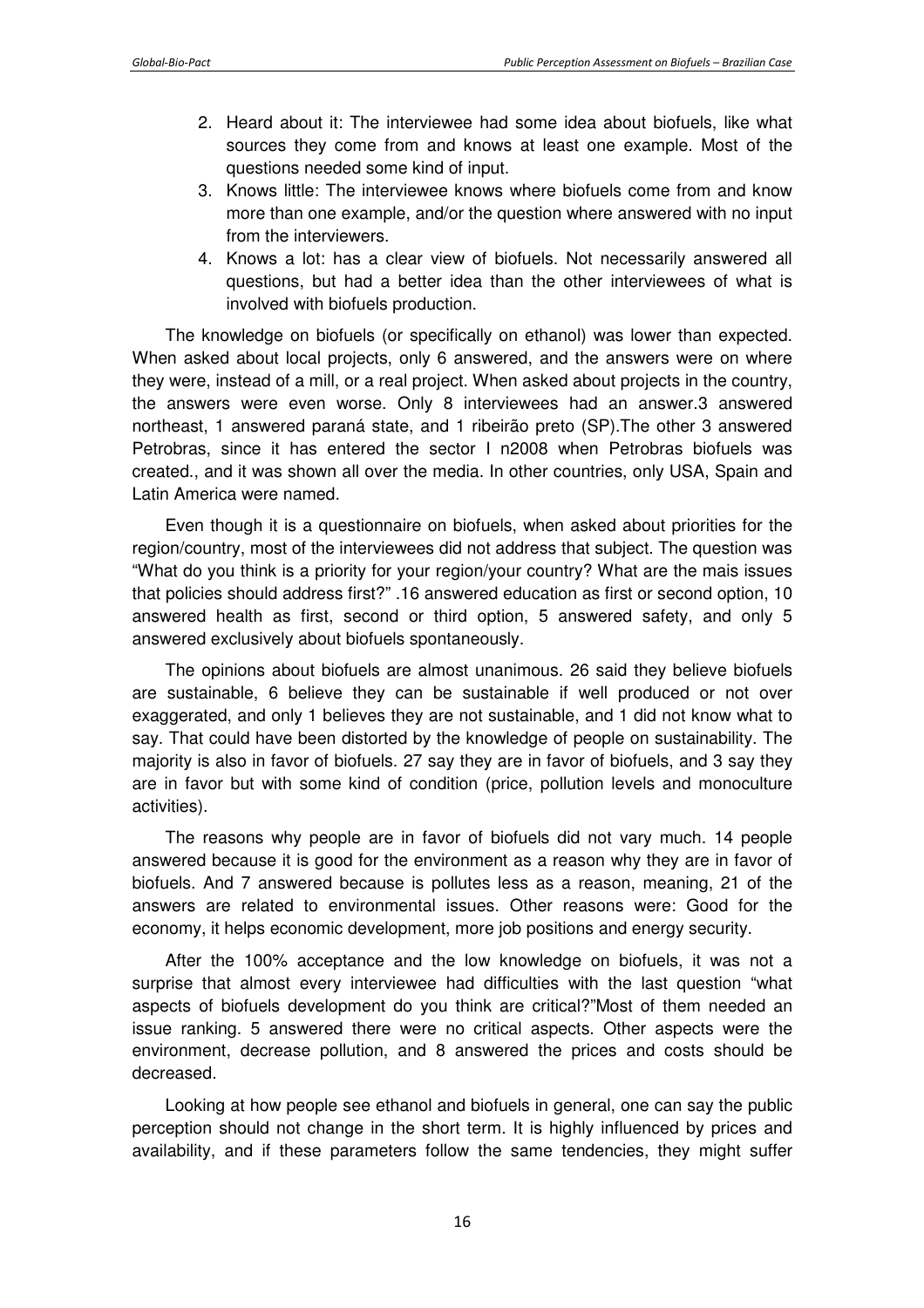- 2. Heard about it: The interviewee had some idea about biofuels, like what sources they come from and knows at least one example. Most of the questions needed some kind of input.
- 3. Knows little: The interviewee knows where biofuels come from and know more than one example, and/or the question where answered with no input from the interviewers.
- 4. Knows a lot: has a clear view of biofuels. Not necessarily answered all questions, but had a better idea than the other interviewees of what is involved with biofuels production.

The knowledge on biofuels (or specifically on ethanol) was lower than expected. When asked about local projects, only 6 answered, and the answers were on where they were, instead of a mill, or a real project. When asked about projects in the country, the answers were even worse. Only 8 interviewees had an answer.3 answered northeast, 1 answered paraná state, and 1 ribeirão preto (SP).The other 3 answered Petrobras, since it has entered the sector I n2008 when Petrobras biofuels was created., and it was shown all over the media. In other countries, only USA, Spain and Latin America were named.

Even though it is a questionnaire on biofuels, when asked about priorities for the region/country, most of the interviewees did not address that subject. The question was "What do you think is a priority for your region/your country? What are the mais issues that policies should address first?" .16 answered education as first or second option, 10 answered health as first, second or third option, 5 answered safety, and only 5 answered exclusively about biofuels spontaneously.

The opinions about biofuels are almost unanimous. 26 said they believe biofuels are sustainable, 6 believe they can be sustainable if well produced or not over exaggerated, and only 1 believes they are not sustainable, and 1 did not know what to say. That could have been distorted by the knowledge of people on sustainability. The majority is also in favor of biofuels. 27 say they are in favor of biofuels, and 3 say they are in favor but with some kind of condition (price, pollution levels and monoculture activities).

The reasons why people are in favor of biofuels did not vary much. 14 people answered because it is good for the environment as a reason why they are in favor of biofuels. And 7 answered because is pollutes less as a reason, meaning, 21 of the answers are related to environmental issues. Other reasons were: Good for the economy, it helps economic development, more job positions and energy security.

After the 100% acceptance and the low knowledge on biofuels, it was not a surprise that almost every interviewee had difficulties with the last question "what aspects of biofuels development do you think are critical?"Most of them needed an issue ranking. 5 answered there were no critical aspects. Other aspects were the environment, decrease pollution, and 8 answered the prices and costs should be decreased.

Looking at how people see ethanol and biofuels in general, one can say the public perception should not change in the short term. It is highly influenced by prices and availability, and if these parameters follow the same tendencies, they might suffer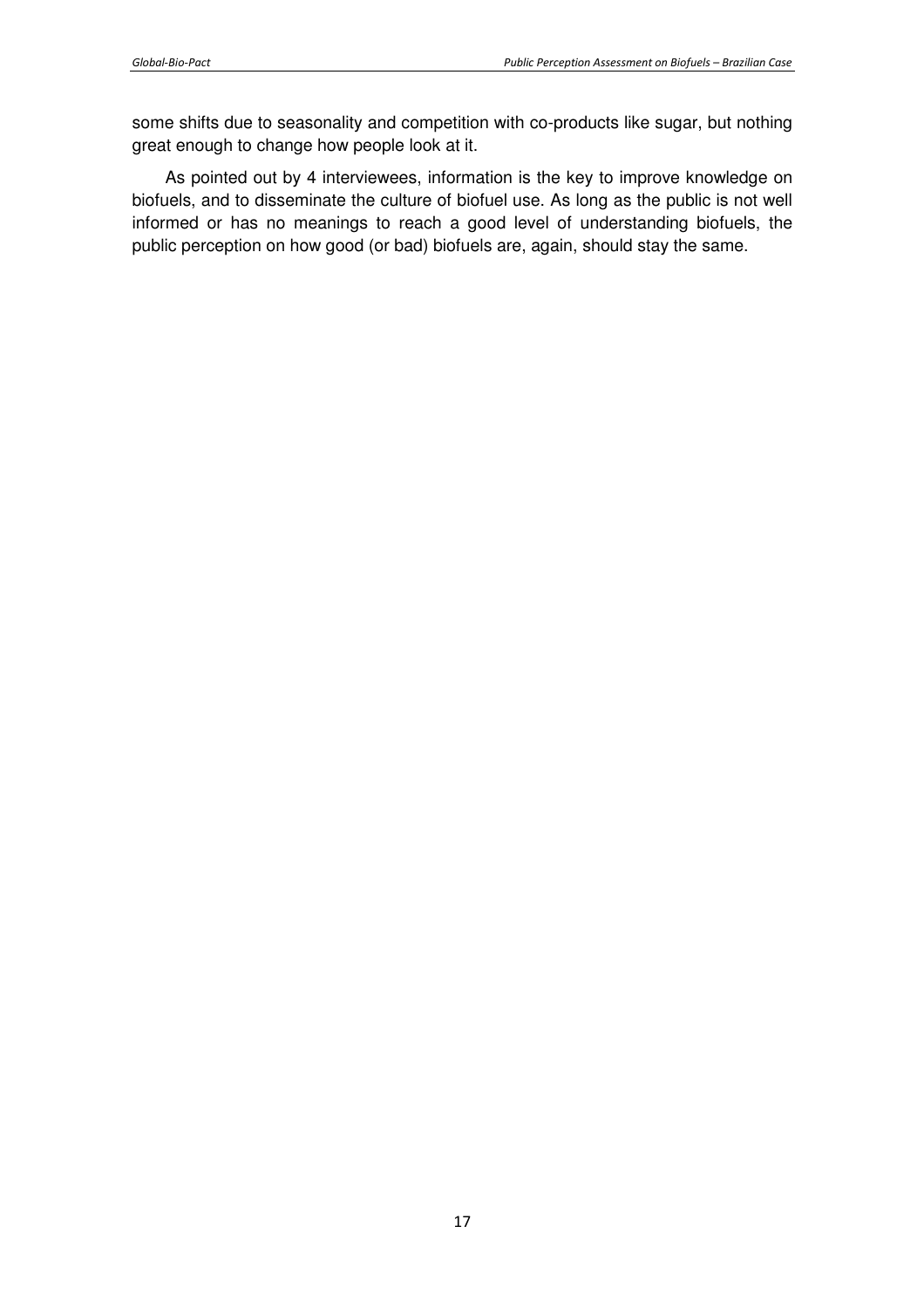some shifts due to seasonality and competition with co-products like sugar, but nothing great enough to change how people look at it.

As pointed out by 4 interviewees, information is the key to improve knowledge on biofuels, and to disseminate the culture of biofuel use. As long as the public is not well informed or has no meanings to reach a good level of understanding biofuels, the public perception on how good (or bad) biofuels are, again, should stay the same.